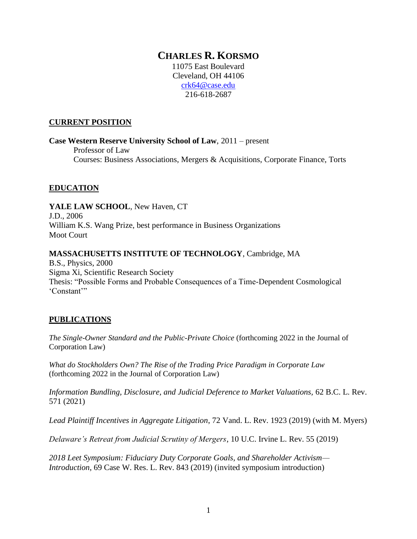# **CHARLES R. KORSMO**

11075 East Boulevard Cleveland, OH 44106 [crk64@case.edu](mailto:crk64@case.edu) 216-618-2687

#### **CURRENT POSITION**

**Case Western Reserve University School of Law**, 2011 – present Professor of Law Courses: Business Associations, Mergers & Acquisitions, Corporate Finance, Torts

## **EDUCATION**

**YALE LAW SCHOOL**, New Haven, CT J.D., 2006 William K.S. Wang Prize, best performance in Business Organizations Moot Court

#### **MASSACHUSETTS INSTITUTE OF TECHNOLOGY**, Cambridge, MA

B.S., Physics, 2000 Sigma Xi, Scientific Research Society Thesis: "Possible Forms and Probable Consequences of a Time-Dependent Cosmological 'Constant'"

## **PUBLICATIONS**

*The Single-Owner Standard and the Public-Private Choice* (forthcoming 2022 in the Journal of Corporation Law)

*What do Stockholders Own? The Rise of the Trading Price Paradigm in Corporate Law* (forthcoming 2022 in the Journal of Corporation Law)

Information Bundling, Disclosure, and Judicial Deference to Market Valuations, 62 B.C. L. Rev. 571 (2021)

*Lead Plaintiff Incentives in Aggregate Litigation*, 72 Vand. L. Rev. 1923 (2019) (with M. Myers)

*Delaware's Retreat from Judicial Scrutiny of Mergers*, 10 U.C. Irvine L. Rev. 55 (2019)

*2018 Leet Symposium: Fiduciary Duty Corporate Goals, and Shareholder Activism— Introduction*, 69 Case W. Res. L. Rev. 843 (2019) (invited symposium introduction)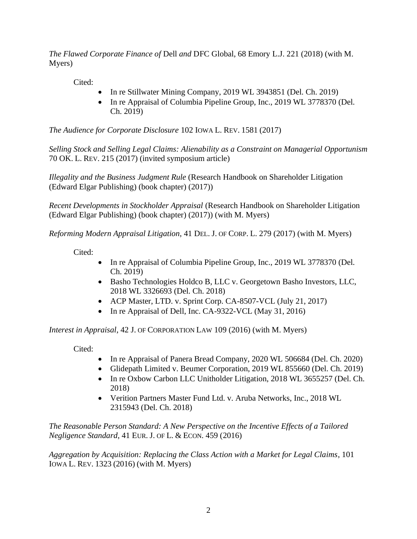*The Flawed Corporate Finance of* Dell *and* DFC Global, 68 Emory L.J. 221 (2018) (with M. Myers)

Cited:

- In re Stillwater Mining Company, 2019 WL 3943851 (Del. Ch. 2019)
- In re Appraisal of Columbia Pipeline Group, Inc., 2019 WL 3778370 (Del.) Ch. 2019)

*The Audience for Corporate Disclosure* 102 IOWA L. REV. 1581 (2017)

*Selling Stock and Selling Legal Claims: Alienability as a Constraint on Managerial Opportunism* 70 OK. L. REV. 215 (2017) (invited symposium article)

*Illegality and the Business Judgment Rule* (Research Handbook on Shareholder Litigation (Edward Elgar Publishing) (book chapter) (2017))

*Recent Developments in Stockholder Appraisal* (Research Handbook on Shareholder Litigation (Edward Elgar Publishing) (book chapter) (2017)) (with M. Myers)

*Reforming Modern Appraisal Litigation*, 41 DEL. J. OF CORP. L. 279 (2017) (with M. Myers)

Cited:

- In re Appraisal of Columbia Pipeline Group, Inc., 2019 WL 3778370 (Del.) Ch. 2019)
- Basho Technologies Holdco B, LLC v. Georgetown Basho Investors, LLC, 2018 WL 3326693 (Del. Ch. 2018)
- ACP Master, LTD. v. Sprint Corp. CA-8507-VCL (July 21, 2017)
- In re Appraisal of Dell, Inc. CA-9322-VCL (May 31, 2016)

*Interest in Appraisal*, 42 J. OF CORPORATION LAW 109 (2016) (with M. Myers)

Cited:

- In re Appraisal of Panera Bread Company, 2020 WL 506684 (Del. Ch. 2020)
- Glidepath Limited v. Beumer Corporation, 2019 WL 855660 (Del. Ch. 2019)
- In re Oxbow Carbon LLC Unitholder Litigation, 2018 WL 3655257 (Del. Ch. 2018)
- Verition Partners Master Fund Ltd. v. Aruba Networks, Inc., 2018 WL 2315943 (Del. Ch. 2018)

*The Reasonable Person Standard: A New Perspective on the Incentive Effects of a Tailored Negligence Standard*, 41 EUR. J. OF L. & ECON. 459 (2016)

*Aggregation by Acquisition: Replacing the Class Action with a Market for Legal Claims*, 101 IOWA L. REV. 1323 (2016) (with M. Myers)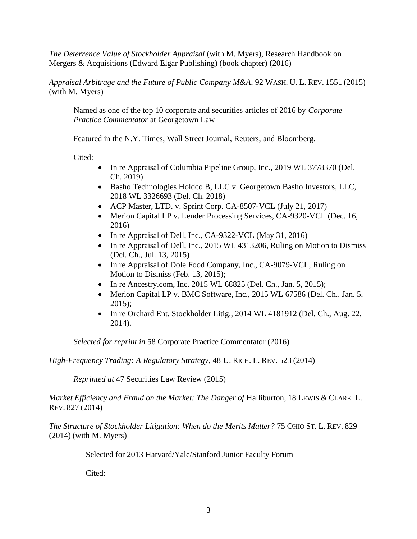*The Deterrence Value of Stockholder Appraisal* (with M. Myers), Research Handbook on Mergers & Acquisitions (Edward Elgar Publishing) (book chapter) (2016)

*Appraisal Arbitrage and the Future of Public Company M&A*, 92 WASH. U. L. REV. 1551 (2015) (with M. Myers)

Named as one of the top 10 corporate and securities articles of 2016 by *Corporate Practice Commentator* at Georgetown Law

Featured in the N.Y. Times, Wall Street Journal, Reuters, and Bloomberg.

Cited:

- In re Appraisal of Columbia Pipeline Group, Inc., 2019 WL 3778370 (Del.) Ch. 2019)
- Basho Technologies Holdco B, LLC v. Georgetown Basho Investors, LLC, 2018 WL 3326693 (Del. Ch. 2018)
- ACP Master, LTD. v. Sprint Corp. CA-8507-VCL (July 21, 2017)
- Merion Capital LP v. Lender Processing Services, CA-9320-VCL (Dec. 16, 2016)
- In re Appraisal of Dell, Inc., CA-9322-VCL (May 31, 2016)
- In re Appraisal of Dell, Inc., 2015 WL 4313206, Ruling on Motion to Dismiss (Del. Ch., Jul. 13, 2015)
- In re Appraisal of Dole Food Company, Inc., CA-9079-VCL, Ruling on Motion to Dismiss (Feb. 13, 2015);
- In re Ancestry.com, Inc. 2015 WL 68825 (Del. Ch., Jan. 5, 2015);
- Merion Capital LP v. BMC Software, Inc., 2015 WL 67586 (Del. Ch., Jan. 5, 2015);
- In re Orchard Ent. Stockholder Litig., 2014 WL 4181912 (Del. Ch., Aug. 22, 2014).

*Selected for reprint in* 58 Corporate Practice Commentator (2016)

*High-Frequency Trading: A Regulatory Strategy*, 48 U. RICH. L. REV. 523 (2014)

*Reprinted at* 47 Securities Law Review (2015)

*Market Efficiency and Fraud on the Market: The Danger of Halliburton, 18 LEWIS & CLARK L.* REV. 827 (2014)

*The Structure of Stockholder Litigation: When do the Merits Matter?* 75 OHIO ST. L. REV. 829 (2014) (with M. Myers)

Selected for 2013 Harvard/Yale/Stanford Junior Faculty Forum

Cited: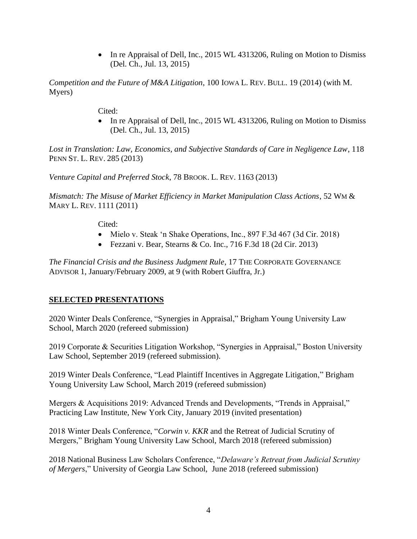• In re Appraisal of Dell, Inc., 2015 WL 4313206, Ruling on Motion to Dismiss (Del. Ch., Jul. 13, 2015)

*Competition and the Future of M&A Litigation*, 100 IOWA L. REV. BULL. 19 (2014) (with M. Myers)

Cited:

• In re Appraisal of Dell, Inc., 2015 WL 4313206, Ruling on Motion to Dismiss (Del. Ch., Jul. 13, 2015)

*Lost in Translation: Law, Economics, and Subjective Standards of Care in Negligence Law*, 118 PENN ST. L. REV. 285 (2013)

*Venture Capital and Preferred Stock*, 78 BROOK. L. REV. 1163 (2013)

*Mismatch: The Misuse of Market Efficiency in Market Manipulation Class Actions*, 52 WM & MARY L. REV. 1111 (2011)

Cited:

- Mielo v. Steak 'n Shake Operations, Inc., 897 F.3d 467 (3d Cir. 2018)
- Fezzani v. Bear, Stearns & Co. Inc., 716 F.3d 18 (2d Cir. 2013)

*The Financial Crisis and the Business Judgment Rule*, 17 THE CORPORATE GOVERNANCE ADVISOR 1, January/February 2009, at 9 (with Robert Giuffra, Jr.)

# **SELECTED PRESENTATIONS**

2020 Winter Deals Conference, "Synergies in Appraisal," Brigham Young University Law School, March 2020 (refereed submission)

2019 Corporate & Securities Litigation Workshop, "Synergies in Appraisal," Boston University Law School, September 2019 (refereed submission).

2019 Winter Deals Conference, "Lead Plaintiff Incentives in Aggregate Litigation," Brigham Young University Law School, March 2019 (refereed submission)

Mergers & Acquisitions 2019: Advanced Trends and Developments, "Trends in Appraisal," Practicing Law Institute, New York City, January 2019 (invited presentation)

2018 Winter Deals Conference, "*Corwin v. KKR* and the Retreat of Judicial Scrutiny of Mergers," Brigham Young University Law School, March 2018 (refereed submission)

2018 National Business Law Scholars Conference, "*Delaware's Retreat from Judicial Scrutiny of Mergers*," University of Georgia Law School, June 2018 (refereed submission)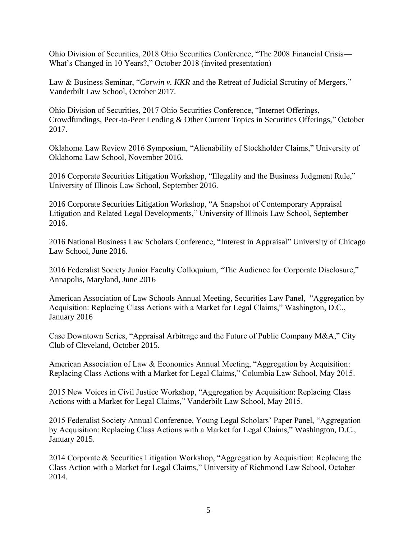Ohio Division of Securities, 2018 Ohio Securities Conference, "The 2008 Financial Crisis— What's Changed in 10 Years?," October 2018 (invited presentation)

Law & Business Seminar, "*Corwin v. KKR* and the Retreat of Judicial Scrutiny of Mergers," Vanderbilt Law School, October 2017.

Ohio Division of Securities, 2017 Ohio Securities Conference, "Internet Offerings, Crowdfundings, Peer-to-Peer Lending & Other Current Topics in Securities Offerings," October 2017.

Oklahoma Law Review 2016 Symposium, "Alienability of Stockholder Claims," University of Oklahoma Law School, November 2016.

2016 Corporate Securities Litigation Workshop, "Illegality and the Business Judgment Rule," University of Illinois Law School, September 2016.

2016 Corporate Securities Litigation Workshop, "A Snapshot of Contemporary Appraisal Litigation and Related Legal Developments," University of Illinois Law School, September 2016.

2016 National Business Law Scholars Conference, "Interest in Appraisal" University of Chicago Law School, June 2016.

2016 Federalist Society Junior Faculty Colloquium, "The Audience for Corporate Disclosure," Annapolis, Maryland, June 2016

American Association of Law Schools Annual Meeting, Securities Law Panel, "Aggregation by Acquisition: Replacing Class Actions with a Market for Legal Claims," Washington, D.C., January 2016

Case Downtown Series, "Appraisal Arbitrage and the Future of Public Company M&A," City Club of Cleveland, October 2015.

American Association of Law & Economics Annual Meeting, "Aggregation by Acquisition: Replacing Class Actions with a Market for Legal Claims," Columbia Law School, May 2015.

2015 New Voices in Civil Justice Workshop, "Aggregation by Acquisition: Replacing Class Actions with a Market for Legal Claims," Vanderbilt Law School, May 2015.

2015 Federalist Society Annual Conference, Young Legal Scholars' Paper Panel, "Aggregation by Acquisition: Replacing Class Actions with a Market for Legal Claims," Washington, D.C., January 2015.

2014 Corporate & Securities Litigation Workshop, "Aggregation by Acquisition: Replacing the Class Action with a Market for Legal Claims," University of Richmond Law School, October 2014.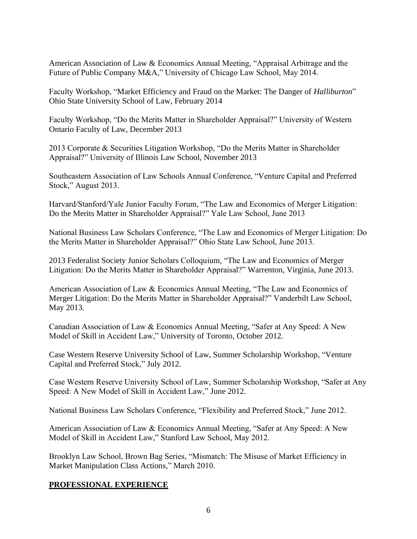American Association of Law & Economics Annual Meeting, "Appraisal Arbitrage and the Future of Public Company M&A," University of Chicago Law School, May 2014.

Faculty Workshop, "Market Efficiency and Fraud on the Market: The Danger of *Halliburton*" Ohio State University School of Law, February 2014

Faculty Workshop, "Do the Merits Matter in Shareholder Appraisal?" University of Western Ontario Faculty of Law, December 2013

2013 Corporate & Securities Litigation Workshop, "Do the Merits Matter in Shareholder Appraisal?" University of Illinois Law School, November 2013

Southeastern Association of Law Schools Annual Conference, "Venture Capital and Preferred Stock," August 2013.

Harvard/Stanford/Yale Junior Faculty Forum, "The Law and Economics of Merger Litigation: Do the Merits Matter in Shareholder Appraisal?" Yale Law School, June 2013

National Business Law Scholars Conference, "The Law and Economics of Merger Litigation: Do the Merits Matter in Shareholder Appraisal?" Ohio State Law School, June 2013.

2013 Federalist Society Junior Scholars Colloquium, "The Law and Economics of Merger Litigation: Do the Merits Matter in Shareholder Appraisal?" Warrenton, Virginia, June 2013.

American Association of Law & Economics Annual Meeting, "The Law and Economics of Merger Litigation: Do the Merits Matter in Shareholder Appraisal?" Vanderbilt Law School, May 2013.

Canadian Association of Law & Economics Annual Meeting, "Safer at Any Speed: A New Model of Skill in Accident Law," University of Toronto, October 2012.

Case Western Reserve University School of Law, Summer Scholarship Workshop, "Venture Capital and Preferred Stock," July 2012.

Case Western Reserve University School of Law, Summer Scholarship Workshop, "Safer at Any Speed: A New Model of Skill in Accident Law," June 2012.

National Business Law Scholars Conference, "Flexibility and Preferred Stock," June 2012.

American Association of Law & Economics Annual Meeting, "Safer at Any Speed: A New Model of Skill in Accident Law," Stanford Law School, May 2012.

Brooklyn Law School, Brown Bag Series, "Mismatch: The Misuse of Market Efficiency in Market Manipulation Class Actions," March 2010.

# **PROFESSIONAL EXPERIENCE**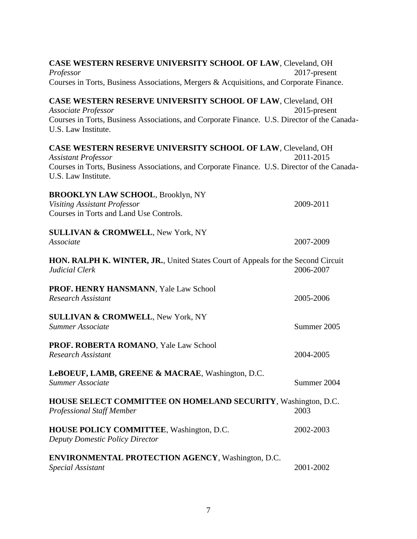| CASE WESTERN RESERVE UNIVERSITY SCHOOL OF LAW, Cleveland, OH<br>Professor                                                                                                                                         | 2017-present |
|-------------------------------------------------------------------------------------------------------------------------------------------------------------------------------------------------------------------|--------------|
| Courses in Torts, Business Associations, Mergers & Acquisitions, and Corporate Finance.                                                                                                                           |              |
| CASE WESTERN RESERVE UNIVERSITY SCHOOL OF LAW, Cleveland, OH<br><b>Associate Professor</b><br>Courses in Torts, Business Associations, and Corporate Finance. U.S. Director of the Canada-<br>U.S. Law Institute. | 2015-present |
| CASE WESTERN RESERVE UNIVERSITY SCHOOL OF LAW, Cleveland, OH<br><b>Assistant Professor</b><br>Courses in Torts, Business Associations, and Corporate Finance. U.S. Director of the Canada-<br>U.S. Law Institute. | 2011-2015    |
| <b>BROOKLYN LAW SCHOOL, Brooklyn, NY</b><br><b>Visiting Assistant Professor</b><br>Courses in Torts and Land Use Controls.                                                                                        | 2009-2011    |
| <b>SULLIVAN &amp; CROMWELL, New York, NY</b><br>Associate                                                                                                                                                         | 2007-2009    |
| HON. RALPH K. WINTER, JR., United States Court of Appeals for the Second Circuit<br>Judicial Clerk                                                                                                                | 2006-2007    |
| PROF. HENRY HANSMANN, Yale Law School<br><b>Research Assistant</b>                                                                                                                                                | 2005-2006    |
| <b>SULLIVAN &amp; CROMWELL, New York, NY</b><br>Summer Associate                                                                                                                                                  | Summer 2005  |
| PROF. ROBERTA ROMANO, Yale Law School<br><b>Research Assistant</b>                                                                                                                                                | 2004-2005    |
| LeBOEUF, LAMB, GREENE & MACRAE, Washington, D.C.<br><b>Summer Associate</b>                                                                                                                                       | Summer 2004  |
| <b>HOUSE SELECT COMMITTEE ON HOMELAND SECURITY, Washington, D.C.</b><br><b>Professional Staff Member</b>                                                                                                          | 2003         |
| HOUSE POLICY COMMITTEE, Washington, D.C.<br><b>Deputy Domestic Policy Director</b>                                                                                                                                | 2002-2003    |
| <b>ENVIRONMENTAL PROTECTION AGENCY, Washington, D.C.</b><br><b>Special Assistant</b>                                                                                                                              | 2001-2002    |